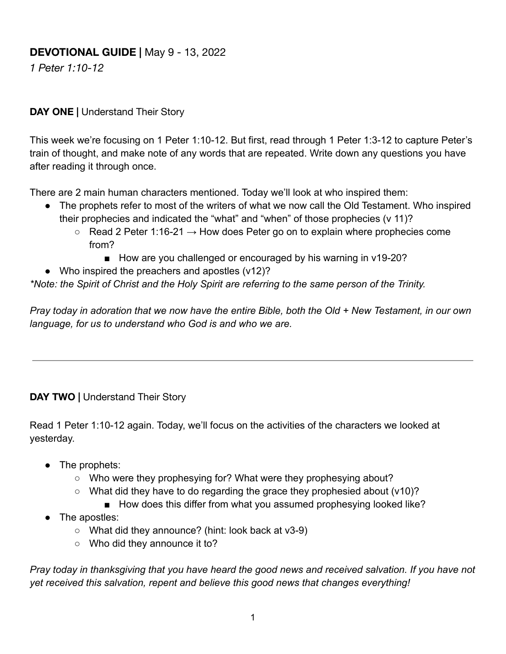## **DEVOTIONAL GUIDE |** May 9 - 13, 2022

*1 Peter 1:10-12*

#### **DAY ONE |** Understand Their Story

This week we're focusing on 1 Peter 1:10-12. But first, read through 1 Peter 1:3-12 to capture Peter's train of thought, and make note of any words that are repeated. Write down any questions you have after reading it through once.

There are 2 main human characters mentioned. Today we'll look at who inspired them:

- The prophets refer to most of the writers of what we now call the Old Testament. Who inspired their prophecies and indicated the "what" and "when" of those prophecies (v 11)?
	- $\circ$  Read 2 Peter 1:16-21  $\rightarrow$  How does Peter go on to explain where prophecies come from?
		- How are you challenged or encouraged by his warning in v19-20?
- Who inspired the preachers and apostles (v12)?

*\*Note: the Spirit of Christ and the Holy Spirit are referring to the same person of the Trinity.*

*Pray today in adoration that we now have the entire Bible, both the Old + New Testament, in our own language, for us to understand who God is and who we are.*

#### **DAY TWO |** Understand Their Story

Read 1 Peter 1:10-12 again. Today, we'll focus on the activities of the characters we looked at yesterday.

- The prophets:
	- Who were they prophesying for? What were they prophesying about?
	- What did they have to do regarding the grace they prophesied about (v10)?
		- How does this differ from what you assumed prophesying looked like?
- The apostles:
	- $\circ$  What did they announce? (hint: look back at v3-9)
	- Who did they announce it to?

*Pray today in thanksgiving that you have heard the good news and received salvation. If you have not yet received this salvation, repent and believe this good news that changes everything!*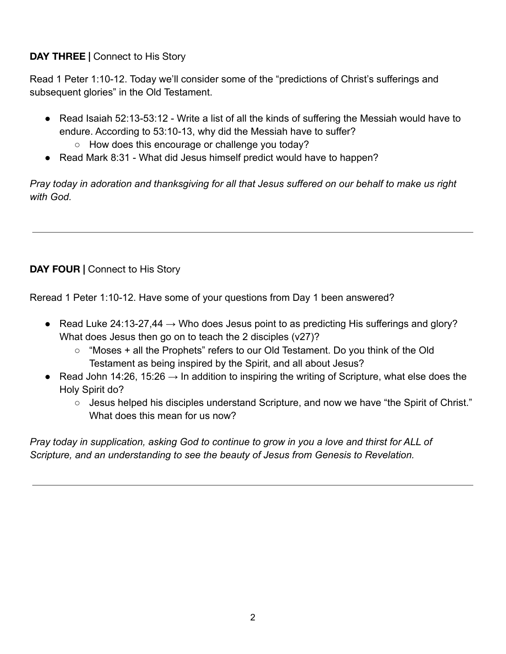#### **DAY THREE |** Connect to His Story

Read 1 Peter 1:10-12. Today we'll consider some of the "predictions of Christ's sufferings and subsequent glories" in the Old Testament.

- Read Isaiah 52:13-53:12 Write a list of all the kinds of suffering the Messiah would have to endure. According to 53:10-13, why did the Messiah have to suffer?
	- How does this encourage or challenge you today?
- Read Mark 8:31 What did Jesus himself predict would have to happen?

*Pray today in adoration and thanksgiving for all that Jesus suffered on our behalf to make us right with God.*

# **DAY FOUR |** Connect to His Story

Reread 1 Peter 1:10-12. Have some of your questions from Day 1 been answered?

- Read Luke 24:13-27,44  $\rightarrow$  Who does Jesus point to as predicting His sufferings and glory? What does Jesus then go on to teach the 2 disciples (v27)?
	- "Moses + all the Prophets" refers to our Old Testament. Do you think of the Old Testament as being inspired by the Spirit, and all about Jesus?
- Read John 14:26, 15:26  $\rightarrow$  In addition to inspiring the writing of Scripture, what else does the Holy Spirit do?
	- Jesus helped his disciples understand Scripture, and now we have "the Spirit of Christ." What does this mean for us now?

*Pray today in supplication, asking God to continue to grow in you a love and thirst for ALL of Scripture, and an understanding to see the beauty of Jesus from Genesis to Revelation.*